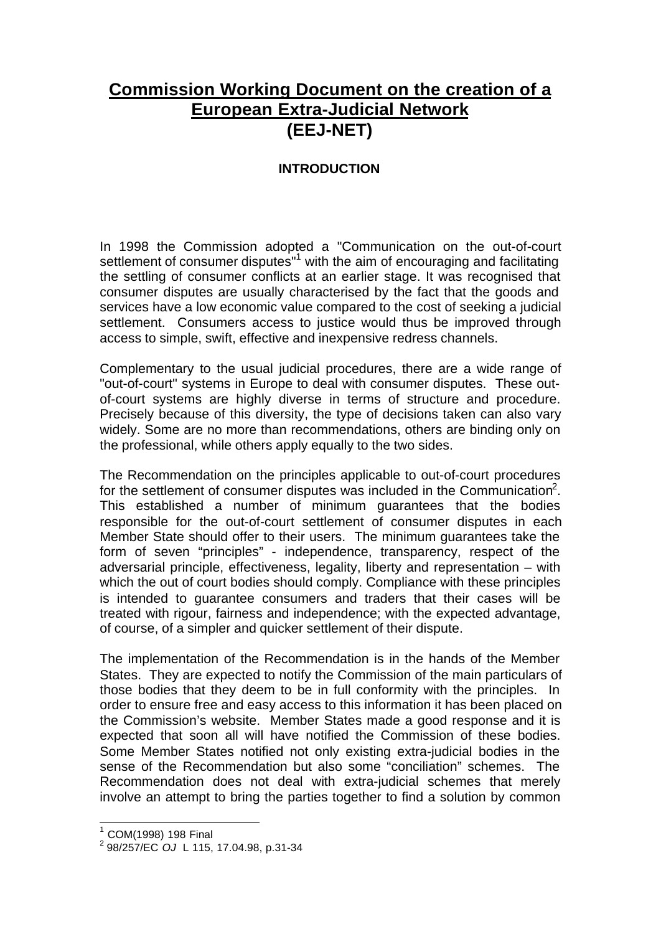# **Commission Working Document on the creation of a European Extra-Judicial Network (EEJ-NET)**

### **INTRODUCTION**

In 1998 the Commission adopted a "Communication on the out-of-court settlement of consumer disputes<sup>"1</sup> with the aim of encouraging and facilitating the settling of consumer conflicts at an earlier stage. It was recognised that consumer disputes are usually characterised by the fact that the goods and services have a low economic value compared to the cost of seeking a judicial settlement. Consumers access to justice would thus be improved through access to simple, swift, effective and inexpensive redress channels.

Complementary to the usual judicial procedures, there are a wide range of "out-of-court" systems in Europe to deal with consumer disputes. These outof-court systems are highly diverse in terms of structure and procedure. Precisely because of this diversity, the type of decisions taken can also vary widely. Some are no more than recommendations, others are binding only on the professional, while others apply equally to the two sides.

The Recommendation on the principles applicable to out-of-court procedures for the settlement of consumer disputes was included in the Communication<sup>2</sup>. This established a number of minimum guarantees that the bodies responsible for the out-of-court settlement of consumer disputes in each Member State should offer to their users. The minimum guarantees take the form of seven "principles" - independence, transparency, respect of the adversarial principle, effectiveness, legality, liberty and representation – with which the out of court bodies should comply. Compliance with these principles is intended to guarantee consumers and traders that their cases will be treated with rigour, fairness and independence; with the expected advantage, of course, of a simpler and quicker settlement of their dispute.

The implementation of the Recommendation is in the hands of the Member States. They are expected to notify the Commission of the main particulars of those bodies that they deem to be in full conformity with the principles. In order to ensure free and easy access to this information it has been placed on the Commission's website. Member States made a good response and it is expected that soon all will have notified the Commission of these bodies. Some Member States notified not only existing extra-judicial bodies in the sense of the Recommendation but also some "conciliation" schemes. The Recommendation does not deal with extra-judicial schemes that merely involve an attempt to bring the parties together to find a solution by common

 1 COM(1998) 198 Final

<sup>2</sup> 98/257/EC *OJ* L 115, 17.04.98, p.31-34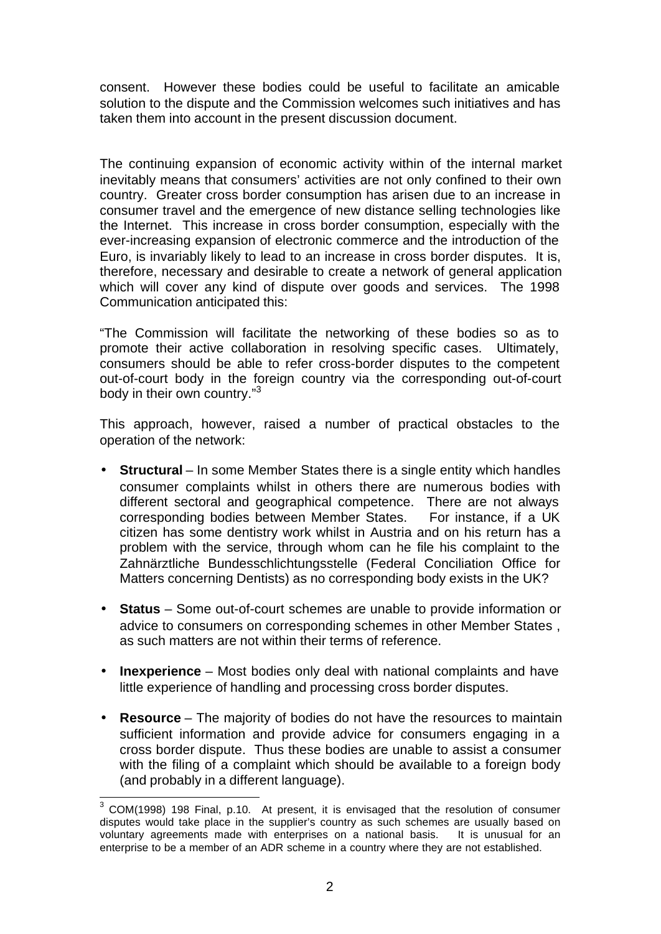consent. However these bodies could be useful to facilitate an amicable solution to the dispute and the Commission welcomes such initiatives and has taken them into account in the present discussion document.

The continuing expansion of economic activity within of the internal market inevitably means that consumers' activities are not only confined to their own country. Greater cross border consumption has arisen due to an increase in consumer travel and the emergence of new distance selling technologies like the Internet. This increase in cross border consumption, especially with the ever-increasing expansion of electronic commerce and the introduction of the Euro, is invariably likely to lead to an increase in cross border disputes. It is, therefore, necessary and desirable to create a network of general application which will cover any kind of dispute over goods and services. The 1998 Communication anticipated this:

"The Commission will facilitate the networking of these bodies so as to promote their active collaboration in resolving specific cases. Ultimately, consumers should be able to refer cross-border disputes to the competent out-of-court body in the foreign country via the corresponding out-of-court body in their own country."<sup>3</sup>

This approach, however, raised a number of practical obstacles to the operation of the network:

- **Structural** In some Member States there is a single entity which handles consumer complaints whilst in others there are numerous bodies with different sectoral and geographical competence. There are not always corresponding bodies between Member States. For instance, if a UK citizen has some dentistry work whilst in Austria and on his return has a problem with the service, through whom can he file his complaint to the Zahnärztliche Bundesschlichtungsstelle (Federal Conciliation Office for Matters concerning Dentists) as no corresponding body exists in the UK?
- **Status**  Some out-of-court schemes are unable to provide information or advice to consumers on corresponding schemes in other Member States , as such matters are not within their terms of reference.
- **Inexperience**  Most bodies only deal with national complaints and have little experience of handling and processing cross border disputes.
- **Resource** The majority of bodies do not have the resources to maintain sufficient information and provide advice for consumers engaging in a cross border dispute. Thus these bodies are unable to assist a consumer with the filing of a complaint which should be available to a foreign body (and probably in a different language).

l

 $3$  COM(1998) 198 Final, p.10. At present, it is envisaged that the resolution of consumer disputes would take place in the supplier's country as such schemes are usually based on voluntary agreements made with enterprises on a national basis. It is unusual for an enterprise to be a member of an ADR scheme in a country where they are not established.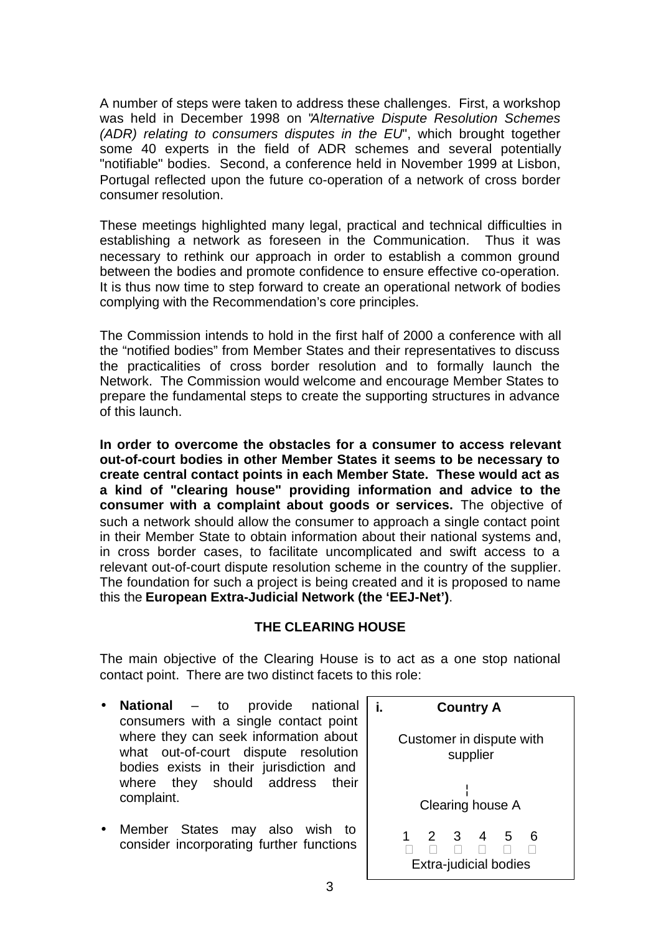A number of steps were taken to address these challenges. First, a workshop was held in December 1998 on "*Alternative Dispute Resolution Schemes (ADR) relating to consumers disputes in the EU*", which brought together some 40 experts in the field of ADR schemes and several potentially "notifiable" bodies. Second, a conference held in November 1999 at Lisbon, Portugal reflected upon the future co-operation of a network of cross border consumer resolution.

These meetings highlighted many legal, practical and technical difficulties in establishing a network as foreseen in the Communication. Thus it was necessary to rethink our approach in order to establish a common ground between the bodies and promote confidence to ensure effective co-operation. It is thus now time to step forward to create an operational network of bodies complying with the Recommendation's core principles.

The Commission intends to hold in the first half of 2000 a conference with all the "notified bodies" from Member States and their representatives to discuss the practicalities of cross border resolution and to formally launch the Network. The Commission would welcome and encourage Member States to prepare the fundamental steps to create the supporting structures in advance of this launch.

**In order to overcome the obstacles for a consumer to access relevant out-of-court bodies in other Member States it seems to be necessary to create central contact points in each Member State. These would act as a kind of "clearing house" providing information and advice to the consumer with a complaint about goods or services.** The objective of such a network should allow the consumer to approach a single contact point in their Member State to obtain information about their national systems and, in cross border cases, to facilitate uncomplicated and swift access to a relevant out-of-court dispute resolution scheme in the country of the supplier. The foundation for such a project is being created and it is proposed to name this the **European Extra-Judicial Network (the 'EEJ-Net')**.

### **THE CLEARING HOUSE**

The main objective of the Clearing House is to act as a one stop national contact point. There are two distinct facets to this role:

- **National** to provide national consumers with a single contact point where they can seek information about what out-of-court dispute resolution bodies exists in their jurisdiction and where they should address their complaint.
- Member States may also wish to consider incorporating further functions

|                  | <b>Country A</b>                     |  |                                        |               |                                               |        |  |  |
|------------------|--------------------------------------|--|----------------------------------------|---------------|-----------------------------------------------|--------|--|--|
|                  | Customer in dispute with<br>supplier |  |                                        |               |                                               |        |  |  |
| Clearing house A |                                      |  |                                        |               |                                               |        |  |  |
|                  | é                                    |  | $\begin{matrix} 2&3\ 6&6 \end{matrix}$ | $\frac{4}{6}$ | $\frac{5}{6}$<br><b>Extra-judicial bodies</b> | 6<br>é |  |  |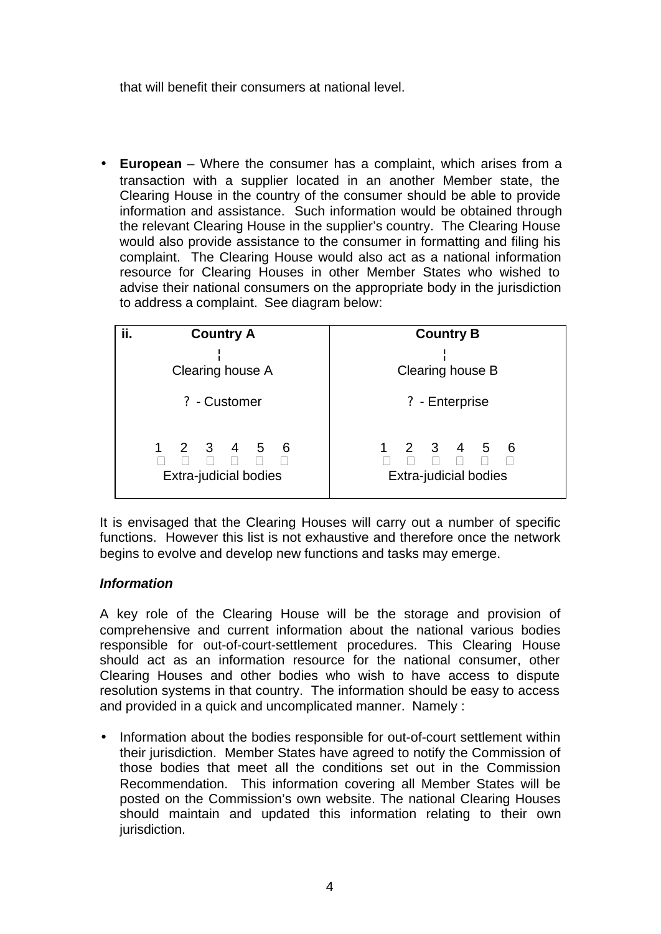that will benefit their consumers at national level.

• **European** – Where the consumer has a complaint, which arises from a transaction with a supplier located in an another Member state, the Clearing House in the country of the consumer should be able to provide information and assistance. Such information would be obtained through the relevant Clearing House in the supplier's country. The Clearing House would also provide assistance to the consumer in formatting and filing his complaint. The Clearing House would also act as a national information resource for Clearing Houses in other Member States who wished to advise their national consumers on the appropriate body in the jurisdiction to address a complaint. See diagram below:

| ii.<br><b>Country A</b>                               | <b>Country B</b>                                             |  |  |  |
|-------------------------------------------------------|--------------------------------------------------------------|--|--|--|
| Clearing house A                                      | Clearing house B                                             |  |  |  |
| ? - Customer                                          | ? - Enterprise                                               |  |  |  |
| 23456<br>9éééééé<br>é<br><b>Extra-judicial bodies</b> | 1 2 3 4 5 6<br>é é é é é é é<br><b>Extra-judicial bodies</b> |  |  |  |

It is envisaged that the Clearing Houses will carry out a number of specific functions. However this list is not exhaustive and therefore once the network begins to evolve and develop new functions and tasks may emerge.

### *Information*

A key role of the Clearing House will be the storage and provision of comprehensive and current information about the national various bodies responsible for out-of-court-settlement procedures. This Clearing House should act as an information resource for the national consumer, other Clearing Houses and other bodies who wish to have access to dispute resolution systems in that country. The information should be easy to access and provided in a quick and uncomplicated manner. Namely :

• Information about the bodies responsible for out-of-court settlement within their jurisdiction. Member States have agreed to notify the Commission of those bodies that meet all the conditions set out in the Commission Recommendation. This information covering all Member States will be posted on the Commission's own website. The national Clearing Houses should maintain and updated this information relating to their own jurisdiction.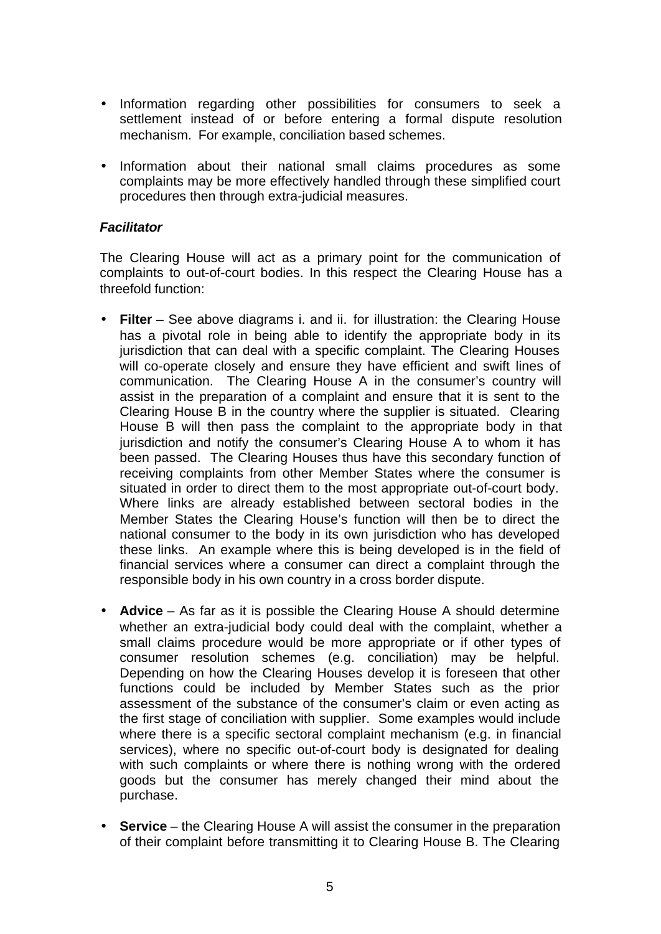- Information regarding other possibilities for consumers to seek a settlement instead of or before entering a formal dispute resolution mechanism. For example, conciliation based schemes.
- Information about their national small claims procedures as some complaints may be more effectively handled through these simplified court procedures then through extra-judicial measures.

#### *Facilitator*

The Clearing House will act as a primary point for the communication of complaints to out-of-court bodies. In this respect the Clearing House has a threefold function:

- **Filter**  See above diagrams i. and ii. for illustration: the Clearing House has a pivotal role in being able to identify the appropriate body in its jurisdiction that can deal with a specific complaint. The Clearing Houses will co-operate closely and ensure they have efficient and swift lines of communication. The Clearing House A in the consumer's country will assist in the preparation of a complaint and ensure that it is sent to the Clearing House B in the country where the supplier is situated. Clearing House B will then pass the complaint to the appropriate body in that jurisdiction and notify the consumer's Clearing House A to whom it has been passed. The Clearing Houses thus have this secondary function of receiving complaints from other Member States where the consumer is situated in order to direct them to the most appropriate out-of-court body. Where links are already established between sectoral bodies in the Member States the Clearing House's function will then be to direct the national consumer to the body in its own jurisdiction who has developed these links. An example where this is being developed is in the field of financial services where a consumer can direct a complaint through the responsible body in his own country in a cross border dispute.
- **Advice** As far as it is possible the Clearing House A should determine whether an extra-judicial body could deal with the complaint, whether a small claims procedure would be more appropriate or if other types of consumer resolution schemes (e.g. conciliation) may be helpful. Depending on how the Clearing Houses develop it is foreseen that other functions could be included by Member States such as the prior assessment of the substance of the consumer's claim or even acting as the first stage of conciliation with supplier. Some examples would include where there is a specific sectoral complaint mechanism (e.g. in financial services), where no specific out-of-court body is designated for dealing with such complaints or where there is nothing wrong with the ordered goods but the consumer has merely changed their mind about the purchase.
- **Service** the Clearing House A will assist the consumer in the preparation of their complaint before transmitting it to Clearing House B. The Clearing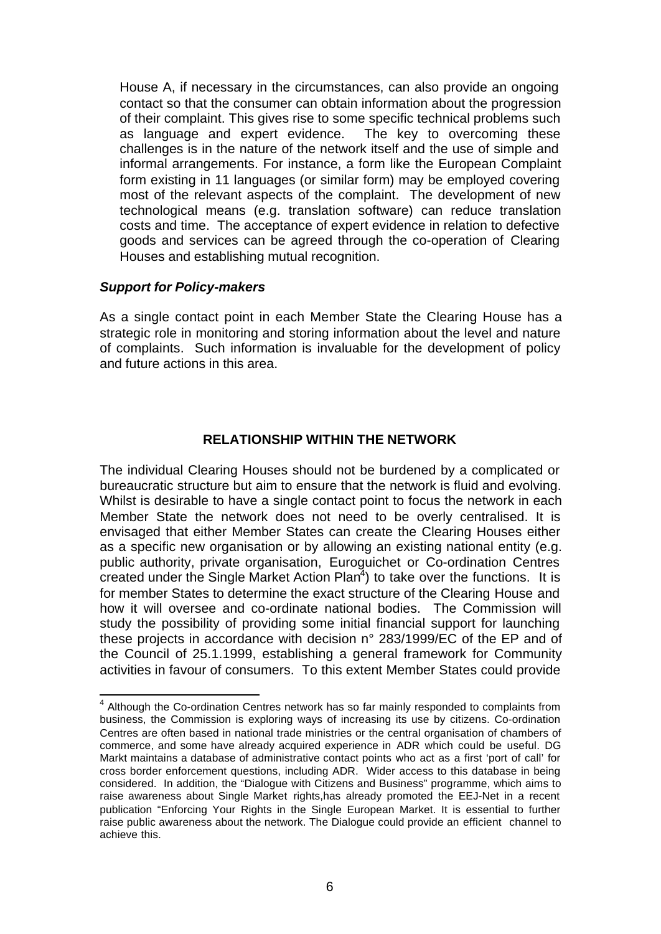House A, if necessary in the circumstances, can also provide an ongoing contact so that the consumer can obtain information about the progression of their complaint. This gives rise to some specific technical problems such as language and expert evidence. The key to overcoming these challenges is in the nature of the network itself and the use of simple and informal arrangements. For instance, a form like the European Complaint form existing in 11 languages (or similar form) may be employed covering most of the relevant aspects of the complaint. The development of new technological means (e.g. translation software) can reduce translation costs and time. The acceptance of expert evidence in relation to defective goods and services can be agreed through the co-operation of Clearing Houses and establishing mutual recognition.

#### *Support for Policy-makers*

l

As a single contact point in each Member State the Clearing House has a strategic role in monitoring and storing information about the level and nature of complaints. Such information is invaluable for the development of policy and future actions in this area.

#### **RELATIONSHIP WITHIN THE NETWORK**

The individual Clearing Houses should not be burdened by a complicated or bureaucratic structure but aim to ensure that the network is fluid and evolving. Whilst is desirable to have a single contact point to focus the network in each Member State the network does not need to be overly centralised. It is envisaged that either Member States can create the Clearing Houses either as a specific new organisation or by allowing an existing national entity (e.g. public authority, private organisation, Euroguichet or Co-ordination Centres created under the Single Market Action Plan<sup>4</sup>) to take over the functions. It is for member States to determine the exact structure of the Clearing House and how it will oversee and co-ordinate national bodies. The Commission will study the possibility of providing some initial financial support for launching these projects in accordance with decision n° 283/1999/EC of the EP and of the Council of 25.1.1999, establishing a general framework for Community activities in favour of consumers. To this extent Member States could provide

<sup>&</sup>lt;sup>4</sup> Although the Co-ordination Centres network has so far mainly responded to complaints from business, the Commission is exploring ways of increasing its use by citizens. Co-ordination Centres are often based in national trade ministries or the central organisation of chambers of commerce, and some have already acquired experience in ADR which could be useful. DG Markt maintains a database of administrative contact points who act as a first 'port of call' for cross border enforcement questions, including ADR. Wider access to this database in being considered. In addition, the "Dialogue with Citizens and Business" programme, which aims to raise awareness about Single Market rights,has already promoted the EEJ-Net in a recent publication "Enforcing Your Rights in the Single European Market. It is essential to further raise public awareness about the network. The Dialogue could provide an efficient channel to achieve this.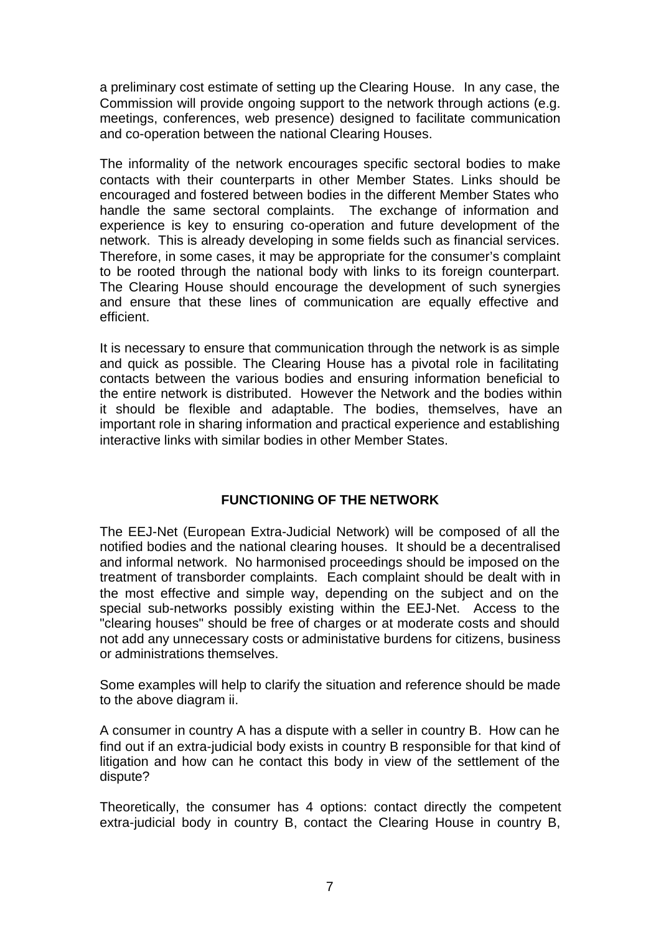a preliminary cost estimate of setting up the Clearing House. In any case, the Commission will provide ongoing support to the network through actions (e.g. meetings, conferences, web presence) designed to facilitate communication and co-operation between the national Clearing Houses.

The informality of the network encourages specific sectoral bodies to make contacts with their counterparts in other Member States. Links should be encouraged and fostered between bodies in the different Member States who handle the same sectoral complaints. The exchange of information and experience is key to ensuring co-operation and future development of the network. This is already developing in some fields such as financial services. Therefore, in some cases, it may be appropriate for the consumer's complaint to be rooted through the national body with links to its foreign counterpart. The Clearing House should encourage the development of such synergies and ensure that these lines of communication are equally effective and efficient.

It is necessary to ensure that communication through the network is as simple and quick as possible. The Clearing House has a pivotal role in facilitating contacts between the various bodies and ensuring information beneficial to the entire network is distributed. However the Network and the bodies within it should be flexible and adaptable. The bodies, themselves, have an important role in sharing information and practical experience and establishing interactive links with similar bodies in other Member States.

#### **FUNCTIONING OF THE NETWORK**

The EEJ-Net (European Extra-Judicial Network) will be composed of all the notified bodies and the national clearing houses. It should be a decentralised and informal network. No harmonised proceedings should be imposed on the treatment of transborder complaints. Each complaint should be dealt with in the most effective and simple way, depending on the subject and on the special sub-networks possibly existing within the EEJ-Net. Access to the "clearing houses" should be free of charges or at moderate costs and should not add any unnecessary costs or administative burdens for citizens, business or administrations themselves.

Some examples will help to clarify the situation and reference should be made to the above diagram ii.

A consumer in country A has a dispute with a seller in country B. How can he find out if an extra-judicial body exists in country B responsible for that kind of litigation and how can he contact this body in view of the settlement of the dispute?

Theoretically, the consumer has 4 options: contact directly the competent extra-judicial body in country B, contact the Clearing House in country B,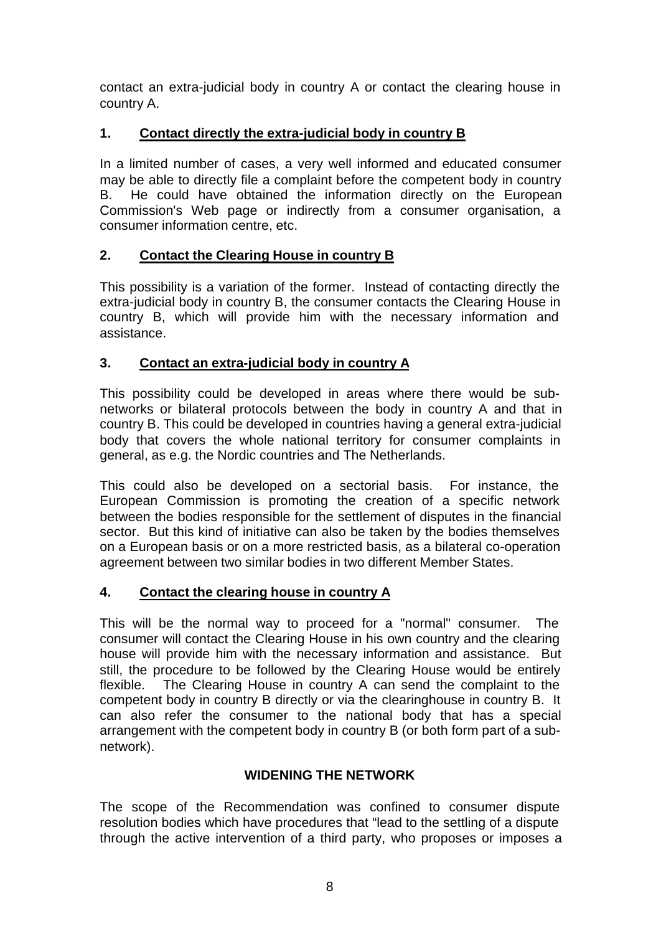contact an extra-judicial body in country A or contact the clearing house in country A.

# **1. Contact directly the extra-judicial body in country B**

In a limited number of cases, a very well informed and educated consumer may be able to directly file a complaint before the competent body in country B. He could have obtained the information directly on the European Commission's Web page or indirectly from a consumer organisation, a consumer information centre, etc.

# **2. Contact the Clearing House in country B**

This possibility is a variation of the former. Instead of contacting directly the extra-judicial body in country B, the consumer contacts the Clearing House in country B, which will provide him with the necessary information and assistance.

### **3. Contact an extra-judicial body in country A**

This possibility could be developed in areas where there would be subnetworks or bilateral protocols between the body in country A and that in country B. This could be developed in countries having a general extra-judicial body that covers the whole national territory for consumer complaints in general, as e.g. the Nordic countries and The Netherlands.

This could also be developed on a sectorial basis. For instance, the European Commission is promoting the creation of a specific network between the bodies responsible for the settlement of disputes in the financial sector. But this kind of initiative can also be taken by the bodies themselves on a European basis or on a more restricted basis, as a bilateral co-operation agreement between two similar bodies in two different Member States.

# **4. Contact the clearing house in country A**

This will be the normal way to proceed for a "normal" consumer. The consumer will contact the Clearing House in his own country and the clearing house will provide him with the necessary information and assistance. But still, the procedure to be followed by the Clearing House would be entirely flexible. The Clearing House in country A can send the complaint to the competent body in country B directly or via the clearinghouse in country B. It can also refer the consumer to the national body that has a special arrangement with the competent body in country B (or both form part of a subnetwork).

# **WIDENING THE NETWORK**

The scope of the Recommendation was confined to consumer dispute resolution bodies which have procedures that "lead to the settling of a dispute through the active intervention of a third party, who proposes or imposes a